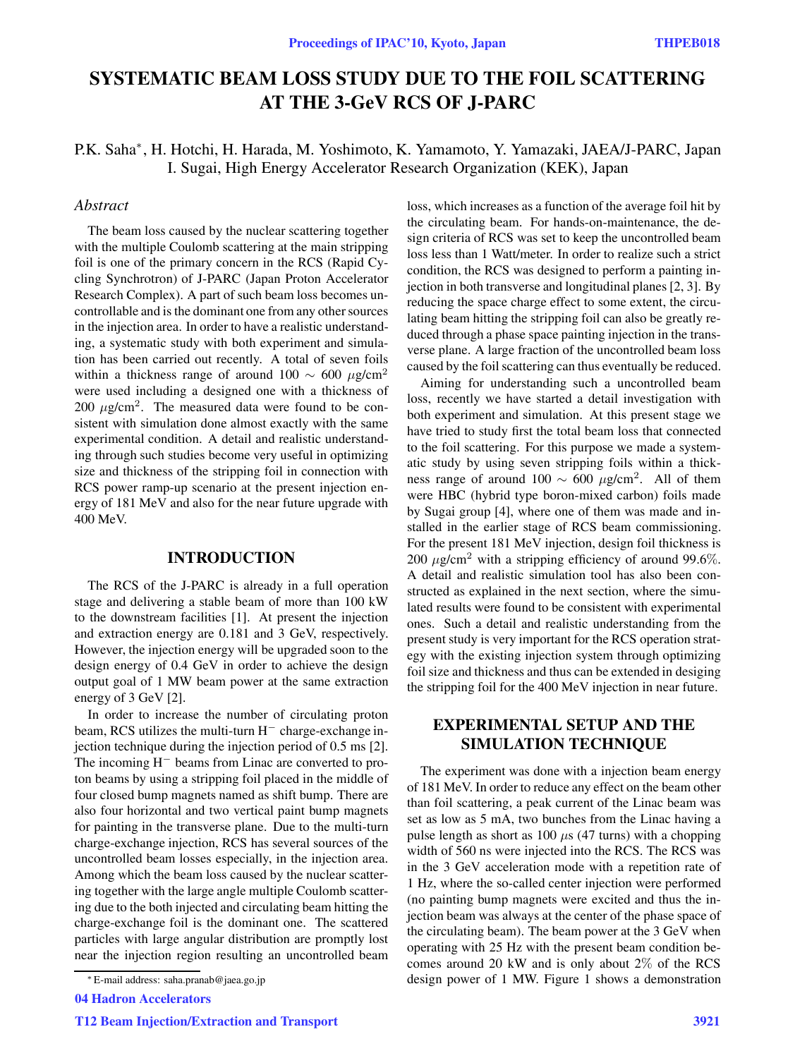# **SYSTEMATIC BEAM LOSS STUDY DUE TO THE FOIL SCATTERING AT THE 3-GeV RCS OF J-PARC**

# P.K. Saha∗, H. Hotchi, H. Harada, M. Yoshimoto, K. Yamamoto, Y. Yamazaki, JAEA/J-PARC, Japan I. Sugai, High Energy Accelerator Research Organization (KEK), Japan

## *Abstract*

The beam loss caused by the nuclear scattering together with the multiple Coulomb scattering at the main stripping foil is one of the primary concern in the RCS (Rapid Cycling Synchrotron) of J-PARC (Japan Proton Accelerator Research Complex). A part of such beam loss becomes uncontrollable and is the dominant one from any other sources in the injection area. In order to have a realistic understanding, a systematic study with both experiment and simulation has been carried out recently. A total of seven foils within a thickness range of around 100  $\sim$  600  $\mu$ g/cm<sup>2</sup> were used including a designed one with a thickness of 200  $\mu$ g/cm<sup>2</sup>. The measured data were found to be consistent with simulation done almost exactly with the same experimental condition. A detail and realistic understanding through such studies become very useful in optimizing size and thickness of the stripping foil in connection with RCS power ramp-up scenario at the present injection energy of 181 MeV and also for the near future upgrade with 400 MeV.

### **INTRODUCTION**

The RCS of the J-PARC is already in a full operation stage and delivering a stable beam of more than 100 kW to the downstream facilities [1]. At present the injection and extraction energy are 0.181 and 3 GeV, respectively. However, the injection energy will be upgraded soon to the design energy of 0.4 GeV in order to achieve the design output goal of 1 MW beam power at the same extraction energy of 3 GeV [2].

In order to increase the number of circulating proton beam, RCS utilizes the multi-turn H*<sup>−</sup>* charge-exchange injection technique during the injection period of 0.5 ms [2]. The incoming H*<sup>−</sup>* beams from Linac are converted to proton beams by using a stripping foil placed in the middle of four closed bump magnets named as shift bump. There are also four horizontal and two vertical paint bump magnets for painting in the transverse plane. Due to the multi-turn charge-exchange injection, RCS has several sources of the uncontrolled beam losses especially, in the injection area. Among which the beam loss caused by the nuclear scattering together with the large angle multiple Coulomb scattering due to the both injected and circulating beam hitting the charge-exchange foil is the dominant one. The scattered particles with large angular distribution are promptly lost near the injection region resulting an uncontrolled beam

04 Hadron Accelerators

loss, which increases as a function of the average foil hit by the circulating beam. For hands-on-maintenance, the design criteria of RCS was set to keep the uncontrolled beam loss less than 1 Watt/meter. In order to realize such a strict condition, the RCS was designed to perform a painting injection in both transverse and longitudinal planes [2, 3]. By reducing the space charge effect to some extent, the circulating beam hitting the stripping foil can also be greatly reduced through a phase space painting injection in the transverse plane. A large fraction of the uncontrolled beam loss caused by the foil scattering can thus eventually be reduced.

Aiming for understanding such a uncontrolled beam loss, recently we have started a detail investigation with both experiment and simulation. At this present stage we have tried to study first the total beam loss that connected to the foil scattering. For this purpose we made a systematic study by using seven stripping foils within a thickness range of around 100  $\sim$  600 μg/cm<sup>2</sup>. All of them were HBC (hybrid type boron-mixed carbon) foils made by Sugai group [4], where one of them was made and installed in the earlier stage of RCS beam commissioning. For the present 181 MeV injection, design foil thickness is 200  $\mu$ g/cm<sup>2</sup> with a stripping efficiency of around 99.6%. A detail and realistic simulation tool has also been constructed as explained in the next section, where the simulated results were found to be consistent with experimental ones. Such a detail and realistic understanding from the present study is very important for the RCS operation strategy with the existing injection system through optimizing foil size and thickness and thus can be extended in desiging the stripping foil for the 400 MeV injection in near future.

# **EXPERIMENTAL SETUP AND THE SIMULATION TECHNIQUE**

The experiment was done with a injection beam energy of 181 MeV. In order to reduce any effect on the beam other than foil scattering, a peak current of the Linac beam was set as low as 5 mA, two bunches from the Linac having a pulse length as short as 100  $\mu$ s (47 turns) with a chopping width of 560 ns were injected into the RCS. The RCS was in the 3 GeV acceleration mode with a repetition rate of 1 Hz, where the so-called center injection were performed (no painting bump magnets were excited and thus the injection beam was always at the center of the phase space of the circulating beam). The beam power at the 3 GeV when operating with 25 Hz with the present beam condition becomes around 20 kW and is only about 2% of the RCS design power of 1 MW. Figure 1 shows a demonstration

<sup>∗</sup> E-mail address: saha.pranab@jaea.go.jp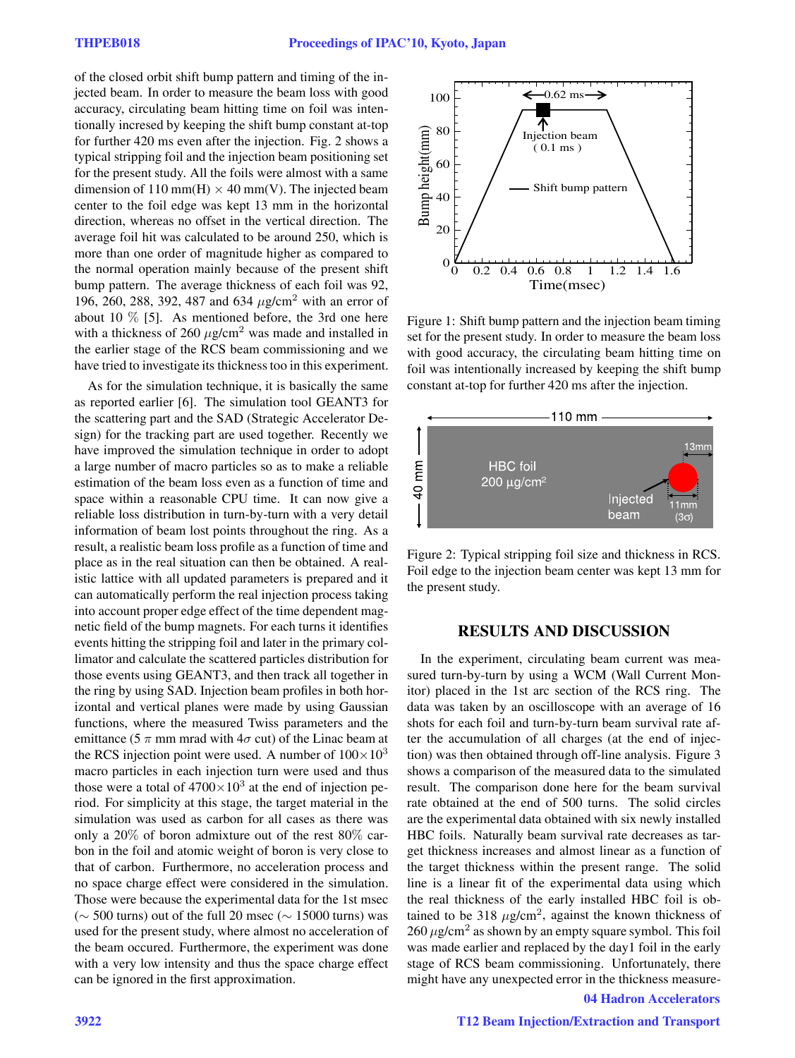of the closed orbit shift bump pattern and timing of the injected beam. In order to measure the beam loss with good accuracy, circulating beam hitting time on foil was intentionally incresed by keeping the shift bump constant at-top for further 420 ms even after the injection. Fig. 2 shows a typical stripping foil and the injection beam positioning set for the present study. All the foils were almost with a same dimension of 110 mm(H)  $\times$  40 mm(V). The injected beam center to the foil edge was kept 13 mm in the horizontal direction, whereas no offset in the vertical direction. The average foil hit was calculated to be around 250, which is more than one order of magnitude higher as compared to the normal operation mainly because of the present shift bump pattern. The average thickness of each foil was 92, 196, 260, 288, 392, 487 and 634  $\mu$ g/cm<sup>2</sup> with an error of about 10  $\%$  [5]. As mentioned before, the 3rd one here with a thickness of 260  $\mu$ g/cm<sup>2</sup> was made and installed in the earlier stage of the RCS beam commissioning and we have tried to investigate its thickness too in this experiment.

As for the simulation technique, it is basically the same as reported earlier [6]. The simulation tool GEANT3 for the scattering part and the SAD (Strategic Accelerator Design) for the tracking part are used together. Recently we have improved the simulation technique in order to adopt a large number of macro particles so as to make a reliable estimation of the beam loss even as a function of time and space within a reasonable CPU time. It can now give a reliable loss distribution in turn-by-turn with a very detail information of beam lost points throughout the ring. As a result, a realistic beam loss profile as a function of time and place as in the real situation can then be obtained. A realistic lattice with all updated parameters is prepared and it can automatically perform the real injection process taking into account proper edge effect of the time dependent magnetic field of the bump magnets. For each turns it identifies events hitting the stripping foil and later in the primary collimator and calculate the scattered particles distribution for those events using GEANT3, and then track all together in the ring by using SAD. Injection beam profiles in both horizontal and vertical planes were made by using Gaussian functions, where the measured Twiss parameters and the emittance (5  $\pi$  mm mrad with 4 $\sigma$  cut) of the Linac beam at the RCS injection point were used. A number of  $100\times10^{3}$ macro particles in each injection turn were used and thus those were a total of  $4700\times10^3$  at the end of injection period. For simplicity at this stage, the target material in the simulation was used as carbon for all cases as there was only a 20% of boron admixture out of the rest 80% carbon in the foil and atomic weight of boron is very close to that of carbon. Furthermore, no acceleration process and no space charge effect were considered in the simulation. Those were because the experimental data for the 1st msec  $(\sim 500 \text{ turns})$  out of the full 20 msec ( $\sim 15000 \text{ turns})$  was used for the present study, where almost no acceleration of the beam occured. Furthermore, the experiment was done with a very low intensity and thus the space charge effect can be ignored in the first approximation.



Figure 1: Shift bump pattern and the injection beam timing set for the present study. In order to measure the beam loss with good accuracy, the circulating beam hitting time on foil was intentionally increased by keeping the shift bump constant at-top for further 420 ms after the injection.



Figure 2: Typical stripping foil size and thickness in RCS. Foil edge to the injection beam center was kept 13 mm for the present study.

## **RESULTS AND DISCUSSION**

In the experiment, circulating beam current was measured turn-by-turn by using a WCM (Wall Current Monitor) placed in the 1st arc section of the RCS ring. The data was taken by an oscilloscope with an average of 16 shots for each foil and turn-by-turn beam survival rate after the accumulation of all charges (at the end of injection) was then obtained through off-line analysis. Figure 3 shows a comparison of the measured data to the simulated result. The comparison done here for the beam survival rate obtained at the end of 500 turns. The solid circles are the experimental data obtained with six newly installed HBC foils. Naturally beam survival rate decreases as target thickness increases and almost linear as a function of the target thickness within the present range. The solid line is a linear fit of the experimental data using which the real thickness of the early installed HBC foil is obtained to be 318  $\mu$ g/cm<sup>2</sup>, against the known thickness of  $260 \mu$ g/cm<sup>2</sup> as shown by an empty square symbol. This foil was made earlier and replaced by the day1 foil in the early stage of RCS beam commissioning. Unfortunately, there might have any unexpected error in the thickness measure-

04 Hadron Accelerators